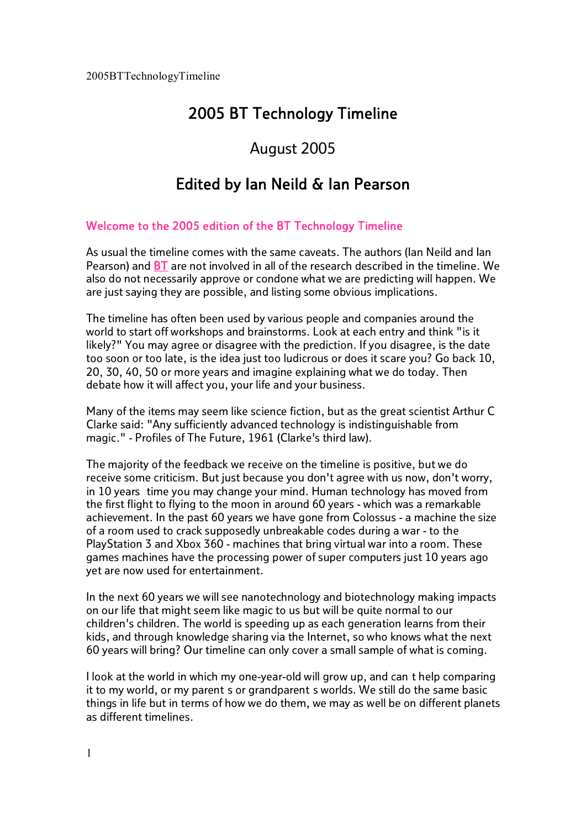#### August 2005

#### Edited by Ian Neild & Ian Pearson

#### Welcome to the 2005 edition of the BT Technology Timeline

As usual the timeline comes with the same caveats. The authors (Ian Neild and Ian Pearson) and **BT** are not involved in all of the research described in the timeline. We also do not necessarily approve or condone what we are predicting will happen. We are just saying they are possible, and listing some obvious implications.

The timeline has often been used by various people and companies around the world to start off workshops and brainstorms. Look at each entry and think "is it likely?" You may agree or disagree with the prediction. If you disagree, is the date too soon or too late, is the idea just too ludicrous or does it scare you? Go back 10, 20, 30, 40, <sup>50</sup> or more years and imagine explaining what we do today. Then debate how it will affect you, your life and your business.<br>Many of the items may seem like science fiction, but as the great scientist Arthur C

Clarke said: "Any sufficiently advanced technology is indistinguishable from magic." - Profiles of The Future, 1961 (Clarke's third law).

The majority of the feedback we receive on the timeline is positive, but we do receive some criticism. But just because you don't agree with us now, don't worry, in 10 years time you may change your mind. Human technology has moved from the first flight to flying to the moon in around 60 years - which was a remarkable achievement. In the past 60 years we have gone from Colossus - a machine the size of a room used to crack supposedly unbreakable codes during a war - to the PlayStation 3 and Xbox 360 - machines that bring virtual war into a room. These games machines have the processing power of super computers just 10 years ago yet are now used for entertainment.

In the next 60 years we will see nanotechnology and biotechnology making impacts on our life that might seem like magic to us but will be quite normal to our children's children. The world is speeding up as each generation learns from their kids, and through knowledge sharing via the Internet, so who knows what the next 60 years will bring? Our timeline can only cover a small sample of what is coming.

I look at the world in which my one-year-old will grow up, and can t help comparing it to my world, or my parent s or grandparent s worlds. We still do the same basic things in life but in terms of how we do them, we may as well be on different planets as different timelines.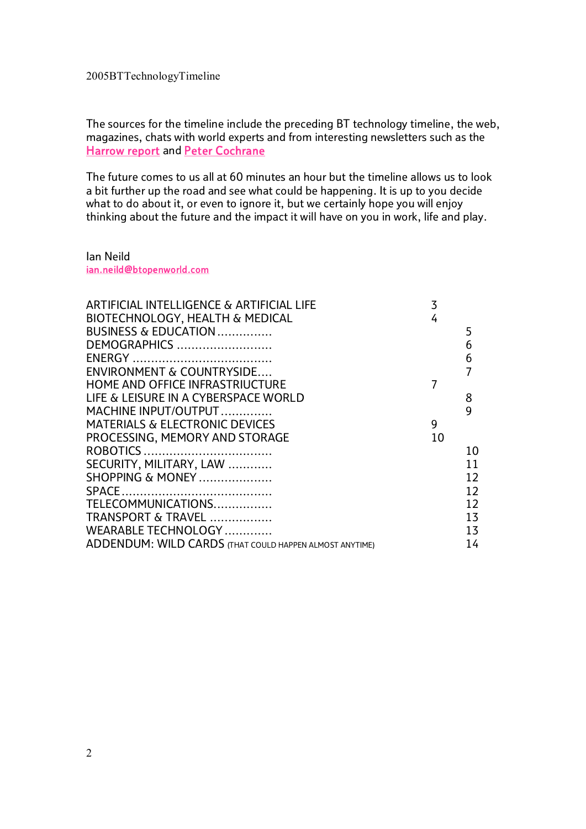The sources for the timeline include the preceding BT technology timeline, the web, magazines, chats with world experts and from interesting newsletters such as the Harrow report and Peter Cochrane

The future comes to us all at 60 minutes an hour but the timeline allows us to look a bit further up the road and see what could be happening. It is up to you decide what to do about it, or even to ignore it, but we certainly hope you will enjoy thinking about the future and the impact it will have on you in work, life and play.

Ian Neild ian.neild@btopenworld.com

| ARTIFICIAL INTELLIGENCE & ARTIFICIAL LIFE               | 3  |    |
|---------------------------------------------------------|----|----|
| BIOTECHNOLOGY, HEALTH & MEDICAL                         | 4  |    |
| BUSINESS & EDUCATION                                    |    | 5  |
| DEMOGRAPHICS                                            |    | 6  |
|                                                         |    | 6  |
| ENVIRONMENT & COUNTRYSIDE                               |    |    |
| HOME AND OFFICE INFRASTRIUCTURE                         |    |    |
| LIFE & LEISURE IN A CYBERSPACE WORLD                    |    | 8  |
| MACHINE INPUT/OUTPUT                                    |    | 9  |
| <b>MATERIALS &amp; ELECTRONIC DEVICES</b>               | 9  |    |
| PROCESSING, MEMORY AND STORAGE                          | 10 |    |
|                                                         |    | 10 |
| SECURITY, MILITARY, LAW                                 |    | 11 |
| SHOPPING & MONEY                                        |    | 12 |
|                                                         |    | 12 |
| TELECOMMUNICATIONS                                      |    | 12 |
| TRANSPORT & TRAVEL                                      |    | 13 |
| WEARABLE TECHNOLOGY                                     |    | 13 |
| ADDENDUM: WILD CARDS (THAT COULD HAPPEN ALMOST ANYTIME) |    | 14 |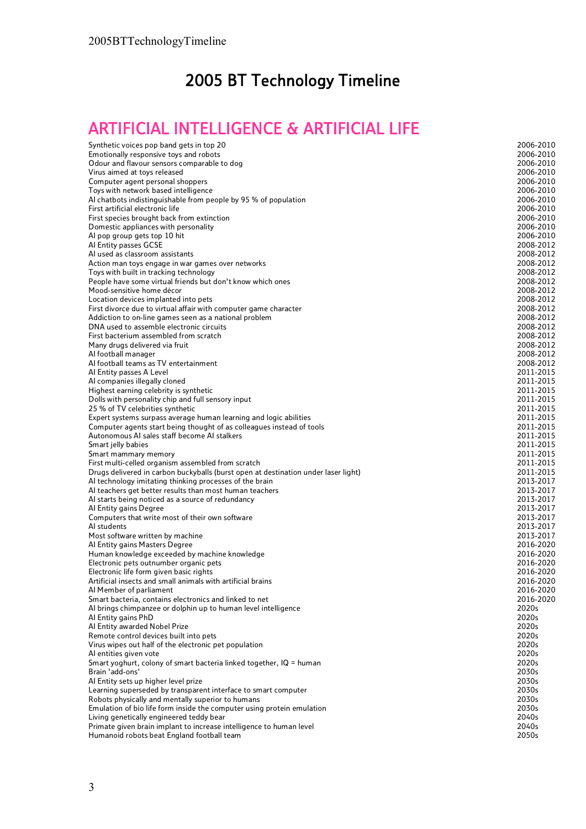## ARTIFICIAL INTELLIGENCE & ARTIFICIAL LIFE

| Synthetic voices pop band gets in top 20                                                                          | 2006-2010              |
|-------------------------------------------------------------------------------------------------------------------|------------------------|
| Emotionally responsive toys and robots                                                                            | 2006-2010              |
| Odour and flavour sensors comparable to dog                                                                       | 2006-2010              |
| Virus aimed at toys released                                                                                      | 2006-2010              |
| Computer agent personal shoppers                                                                                  | 2006-2010              |
| Toys with network based intelligence                                                                              | 2006-2010              |
| Al chatbots indistinguishable from people by 95 % of population<br>First artificial electronic life               | 2006-2010<br>2006-2010 |
| First species brought back from extinction                                                                        | 2006-2010              |
| Domestic appliances with personality                                                                              | 2006-2010              |
| Al pop group gets top 10 hit                                                                                      | 2006-2010              |
| Al Entity passes GCSE                                                                                             | 2008-2012              |
| Al used as classroom assistants                                                                                   | 2008-2012              |
| Action man toys engage in war games over networks                                                                 | 2008-2012              |
| Toys with built in tracking technology                                                                            | 2008-2012              |
| People have some virtual friends but don't know which ones                                                        | 2008-2012              |
| Mood-sensitive home décor                                                                                         | 2008-2012              |
| Location devices implanted into pets                                                                              | 2008-2012              |
| First divorce due to virtual affair with computer game character                                                  | 2008-2012              |
| Addiction to on-line games seen as a national problem                                                             | 2008-2012              |
| DNA used to assemble electronic circuits                                                                          | 2008-2012              |
| First bacterium assembled from scratch                                                                            | 2008-2012              |
| Many drugs delivered via fruit                                                                                    | 2008-2012              |
| Al football manager                                                                                               | 2008-2012              |
| Al football teams as TV entertainment                                                                             | 2008-2012              |
| Al Entity passes A Level                                                                                          | 2011-2015              |
| Al companies illegally cloned                                                                                     | 2011-2015              |
| Highest earning celebrity is synthetic                                                                            | 2011-2015              |
| Dolls with personality chip and full sensory input                                                                | 2011-2015<br>2011-2015 |
| 25 % of TV celebrities synthetic<br>Expert systems surpass average human learning and logic abilities             | 2011-2015              |
| Computer agents start being thought of as colleagues instead of tools                                             | 2011-2015              |
| Autonomous AI sales staff become AI stalkers                                                                      | 2011-2015              |
| Smart jelly babies                                                                                                | 2011-2015              |
| Smart mammary memory                                                                                              | 2011-2015              |
| First multi-celled organism assembled from scratch                                                                | 2011-2015              |
| Drugs delivered in carbon buckyballs (burst open at destination under laser light)                                | 2011-2015              |
| Al technology imitating thinking processes of the brain                                                           | 2013-2017              |
| Al teachers get better results than most human teachers                                                           | 2013-2017              |
| Al starts being noticed as a source of redundancy                                                                 | 2013-2017              |
| Al Entity gains Degree                                                                                            | 2013-2017              |
| Computers that write most of their own software                                                                   | 2013-2017              |
| Al students                                                                                                       | 2013-2017              |
| Most software written by machine                                                                                  | 2013-2017              |
| Al Entity gains Masters Degree                                                                                    | 2016-2020              |
| Human knowledge exceeded by machine knowledge                                                                     | 2016-2020              |
| Electronic pets outnumber organic pets<br>Electronic life form given basic rights                                 | 2016-2020<br>2016-2020 |
| Artificial insects and small animals with artificial brains                                                       | 2016-2020              |
| Al Member of parliament                                                                                           | 2016-2020              |
| Smart bacteria, contains electronics and linked to net                                                            | 2016-2020              |
| Al brings chimpanzee or dolphin up to human level intelligence                                                    | 2020s                  |
| Al Entity gains PhD                                                                                               | 2020s                  |
| Al Entity awarded Nobel Prize                                                                                     | 2020s                  |
| Remote control devices built into pets                                                                            | 2020s                  |
| Virus wipes out half of the electronic pet population                                                             | 2020s                  |
| Al entities given vote                                                                                            | 2020s                  |
| Smart yoghurt, colony of smart bacteria linked together, IQ = human                                               | 2020s                  |
| Brain 'add-ons'                                                                                                   | 2030s                  |
| Al Entity sets up higher level prize                                                                              | 2030s                  |
| Learning superseded by transparent interface to smart computer                                                    | 2030s                  |
| Robots physically and mentally superior to humans                                                                 | 2030s                  |
| Emulation of bio life form inside the computer using protein emulation                                            | 2030s                  |
| Living genetically engineered teddy bear                                                                          | 2040s                  |
|                                                                                                                   |                        |
| Primate given brain implant to increase intelligence to human level<br>Humanoid robots beat England football team | 2040s<br>2050s         |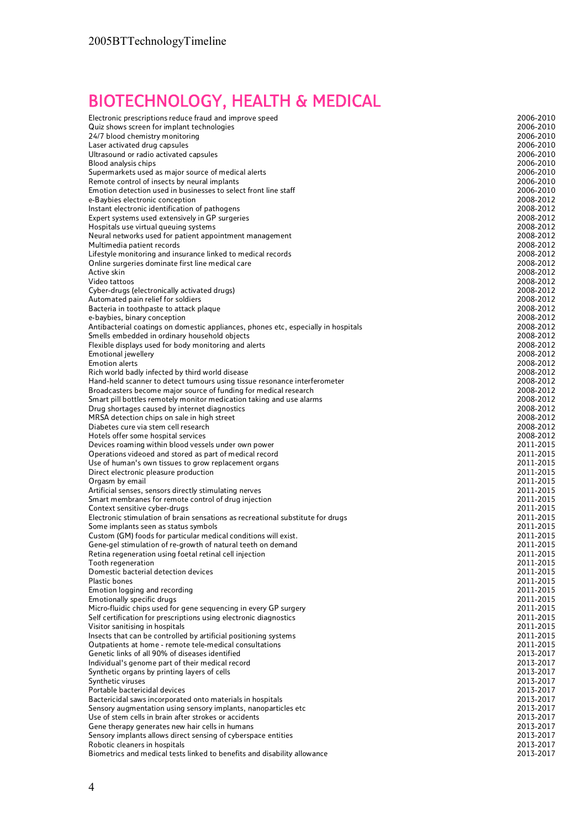## ECHNOLOGY, HEALTH & MEDICAL

| <b>BIOTECHNOLOGY, HEALTH &amp; MEDICAL</b>                                                                                          |                        |
|-------------------------------------------------------------------------------------------------------------------------------------|------------------------|
| Electronic prescriptions reduce fraud and improve speed                                                                             | 2006-2010              |
| Quiz shows screen for implant technologies                                                                                          | 2006-2010              |
| 24/7 blood chemistry monitoring                                                                                                     | 2006-2010              |
| Laser activated drug capsules<br>Ultrasound or radio activated capsules                                                             | 2006-2010<br>2006-2010 |
| Blood analysis chips                                                                                                                | 2006-2010              |
| Supermarkets used as major source of medical alerts                                                                                 | 2006-2010              |
| Remote control of insects by neural implants                                                                                        | 2006-2010              |
| Emotion detection used in businesses to select front line staff<br>e-Baybies electronic conception                                  | 2006-2010<br>2008-2012 |
| Instant electronic identification of pathogens                                                                                      | 2008-2012              |
| Expert systems used extensively in GP surgeries                                                                                     | 2008-2012              |
| Hospitals use virtual queuing systems                                                                                               | 2008-2012              |
| Neural networks used for patient appointment management<br>Multimedia patient records                                               | 2008-2012<br>2008-2012 |
| Lifestyle monitoring and insurance linked to medical records                                                                        | 2008-2012              |
| Online surgeries dominate first line medical care                                                                                   | 2008-2012              |
| Active skin                                                                                                                         | 2008-2012              |
| Video tattoos<br>Cyber-drugs (electronically activated drugs)                                                                       | 2008-2012<br>2008-2012 |
| Automated pain relief for soldiers                                                                                                  | 2008-2012              |
| Bacteria in toothpaste to attack plaque                                                                                             | 2008-2012              |
| e-baybies, binary conception                                                                                                        | 2008-2012              |
| Antibacterial coatings on domestic appliances, phones etc, especially in hospitals<br>Smells embedded in ordinary household objects | 2008-2012<br>2008-2012 |
| Flexible displays used for body monitoring and alerts                                                                               | 2008-2012              |
| Emotional jewellery                                                                                                                 | 2008-2012              |
| <b>Emotion alerts</b>                                                                                                               | 2008-2012              |
| Rich world badly infected by third world disease<br>Hand-held scanner to detect tumours using tissue resonance interferometer       | 2008-2012<br>2008-2012 |
| Broadcasters become major source of funding for medical research                                                                    | 2008-2012              |
| Smart pill bottles remotely monitor medication taking and use alarms                                                                | 2008-2012              |
| Drug shortages caused by internet diagnostics                                                                                       | 2008-2012              |
| MRSA detection chips on sale in high street<br>Diabetes cure via stem cell research                                                 | 2008-2012<br>2008-2012 |
| Hotels offer some hospital services                                                                                                 | 2008-2012              |
| Devices roaming within blood vessels under own power                                                                                | 2011-2015              |
| Operations videoed and stored as part of medical record                                                                             | 2011-2015              |
| Use of human's own tissues to grow replacement organs<br>Direct electronic pleasure production                                      | 2011-2015<br>2011-2015 |
| Orgasm by email                                                                                                                     | 2011-2015              |
| Artificial senses, sensors directly stimulating nerves                                                                              | 2011-2015              |
| Smart membranes for remote control of drug injection                                                                                | 2011-2015              |
| Context sensitive cyber-drugs<br>Electronic stimulation of brain sensations as recreational substitute for drugs                    | 2011-2015<br>2011-2015 |
| Some implants seen as status symbols                                                                                                | 2011-2015              |
| Custom (GM) foods for particular medical conditions will exist.                                                                     | 2011-2015              |
| Gene-gel stimulation of re-growth of natural teeth on demand                                                                        | 2011-2015              |
| Retina regeneration using foetal retinal cell injection<br>Tooth regeneration                                                       | 2011-2015<br>2011-2015 |
| Domestic bacterial detection devices                                                                                                | 2011-2015              |
| <b>Plastic bones</b>                                                                                                                | 2011-2015              |
| Emotion logging and recording                                                                                                       | 2011-2015              |
| Emotionally specific drugs<br>Micro-fluidic chips used for gene sequencing in every GP surgery                                      | 2011-2015<br>2011-2015 |
| Self certification for prescriptions using electronic diagnostics                                                                   | 2011-2015              |
| Visitor sanitising in hospitals                                                                                                     | 2011-2015              |
| Insects that can be controlled by artificial positioning systems                                                                    | 2011-2015              |
| Outpatients at home - remote tele-medical consultations<br>Genetic links of all 90% of diseases identified                          | 2011-2015<br>2013-2017 |
| Individual's genome part of their medical record                                                                                    | 2013-2017              |
| Synthetic organs by printing layers of cells                                                                                        | 2013-2017              |
| Synthetic viruses                                                                                                                   | 2013-2017              |
| Portable bactericidal devices<br>Bactericidal saws incorporated onto materials in hospitals                                         | 2013-2017<br>2013-2017 |
| Sensory augmentation using sensory implants, nanoparticles etc                                                                      | 2013-2017              |
| Use of stem cells in brain after strokes or accidents                                                                               | 2013-2017              |
| Gene therapy generates new hair cells in humans                                                                                     | 2013-2017              |
| Sensory implants allows direct sensing of cyberspace entities<br>Robotic cleaners in hospitals                                      | 2013-2017<br>2013-2017 |
| Biometrics and medical tests linked to benefits and disability allowance                                                            | 2013-2017              |
|                                                                                                                                     |                        |
|                                                                                                                                     |                        |
| 4                                                                                                                                   |                        |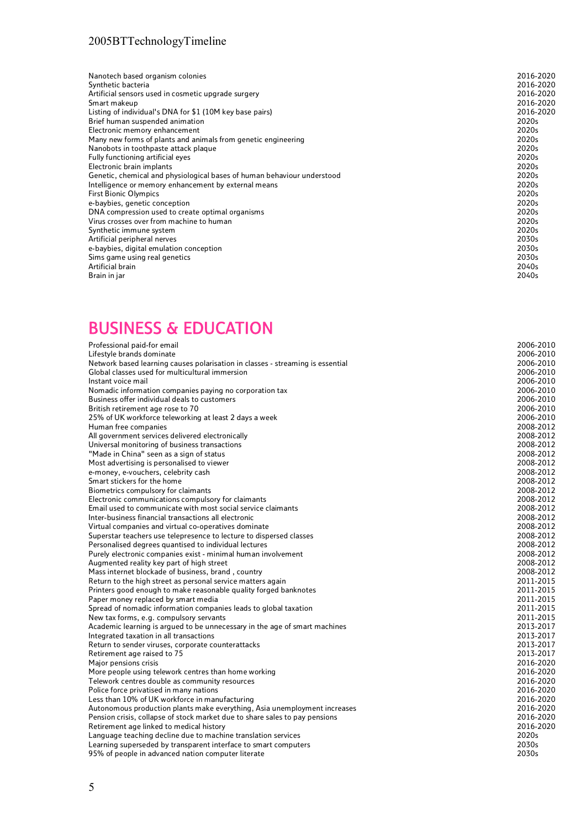#### BUSINESS & EDUCATION

| Nanotech based organism colonies                                               | 2016-2020 |
|--------------------------------------------------------------------------------|-----------|
| Synthetic bacteria                                                             | 2016-2020 |
| Artificial sensors used in cosmetic upgrade surgery                            | 2016-2020 |
| Smart makeup                                                                   | 2016-2020 |
| Listing of individual's DNA for \$1 (10M key base pairs)                       | 2016-2020 |
| Brief human suspended animation                                                | 2020s     |
| Electronic memory enhancement                                                  | 2020s     |
| Many new forms of plants and animals from genetic engineering                  | 2020s     |
| Nanobots in toothpaste attack plaque                                           | 2020s     |
| Fully functioning artificial eyes                                              | 2020s     |
| Electronic brain implants                                                      | 2020s     |
| Genetic, chemical and physiological bases of human behaviour understood        | 2020s     |
| Intelligence or memory enhancement by external means                           | 2020s     |
| <b>First Bionic Olympics</b>                                                   | 2020s     |
| e-baybies, genetic conception                                                  | 2020s     |
| DNA compression used to create optimal organisms                               | 2020s     |
| Virus crosses over from machine to human                                       | 2020s     |
| Synthetic immune system                                                        | 2020s     |
| Artificial peripheral nerves                                                   | 2030s     |
| e-baybies, digital emulation conception                                        | 2030s     |
| Sims game using real genetics                                                  | 2030s     |
| Artificial brain                                                               | 2040s     |
| Brain in jar                                                                   | 2040s     |
| <b>BUSINESS &amp; EDUCATION</b>                                                |           |
| Professional paid-for email                                                    | 2006-2010 |
| Lifestyle brands dominate                                                      | 2006-2010 |
| Network based learning causes polarisation in classes - streaming is essential | 2006-2010 |
| Global classes used for multicultural immersion                                | 2006-2010 |
| Instant voice mail                                                             | 2006-2010 |
| Nomadic information companies paying no corporation tax                        | 2006-2010 |
| Business offer individual deals to customers                                   | 2006-2010 |
| British retirement age rose to 70                                              | 2006-2010 |
| 25% of UK workforce teleworking at least 2 days a week                         | 2006-2010 |
| Human free companies                                                           | 2008-2012 |
| All government services delivered electronically                               | 2008-2012 |
| Universal monitoring of business transactions                                  | 2008-2012 |
| "Made in China" seen as a sign of status                                       | 2008-2012 |
| Most advertising is personalised to viewer                                     | 2008-2012 |
| e-money, e-vouchers, celebrity cash                                            | 2008-2012 |
| Smart stickers for the home                                                    | 2008-2012 |
| Biometrics compulsory for claimants                                            | 2008-2012 |
| Electronic communications compulsory for claimants                             | 2008-2012 |
| Email used to communicate with most social service claimants                   | 2008-2012 |
| Inter-business financial transactions all electronic                           | 2008-2012 |
| Virtual companies and virtual co-operatives dominate                           | 2008-2012 |
| Superstar teachers use telepresence to lecture to dispersed classes            | 2008-2012 |
| Personalised degrees quantised to individual lectures                          | 2008-2012 |
| Purely electronic companies exist - minimal human involvement                  | 2008-2012 |
| Augmented reality key part of high street                                      | 2008-2012 |
| Mass internet blockade of business, brand, country                             | 2008-2012 |
| Return to the high street as personal service matters again                    | 2011-2015 |
| Printers good enough to make reasonable quality forged banknotes               | 2011-2015 |
| Paper money replaced by smart media                                            | 2011-2015 |
| Spread of nomadic information companies leads to global taxation               | 2011-2015 |
| New tax forms, e.g. compulsory servants                                        | 2011-2015 |
| Academic learning is argued to be unnecessary in the age of smart machines     | 2013-2017 |
| Integrated taxation in all transactions                                        | 2013-2017 |
| Return to sender viruses, corporate counterattacks                             | 2013-2017 |
| Retirement age raised to 75                                                    | 2013-2017 |
| Major pensions crisis                                                          | 2016-2020 |
| More people using telework centres than home working                           | 2016-2020 |
| Telework centres double as community resources                                 | 2016-2020 |
| Police force privatised in many nations                                        | 2016-2020 |
| Less than 10% of UK workforce in manufacturing                                 | 2016-2020 |
| Autonomous production plants make everything, Asia unemployment increases      | 2016-2020 |
| Pension crisis, collapse of stock market due to share sales to pay pensions    | 2016-2020 |
| Retirement age linked to medical history                                       | 2016-2020 |
| Language teaching decline due to machine translation services                  | 2020s     |
| Learning superseded by transparent interface to smart computers                | 2030s     |
| 95% of people in advanced nation computer literate                             | 2030s     |
| 5                                                                              |           |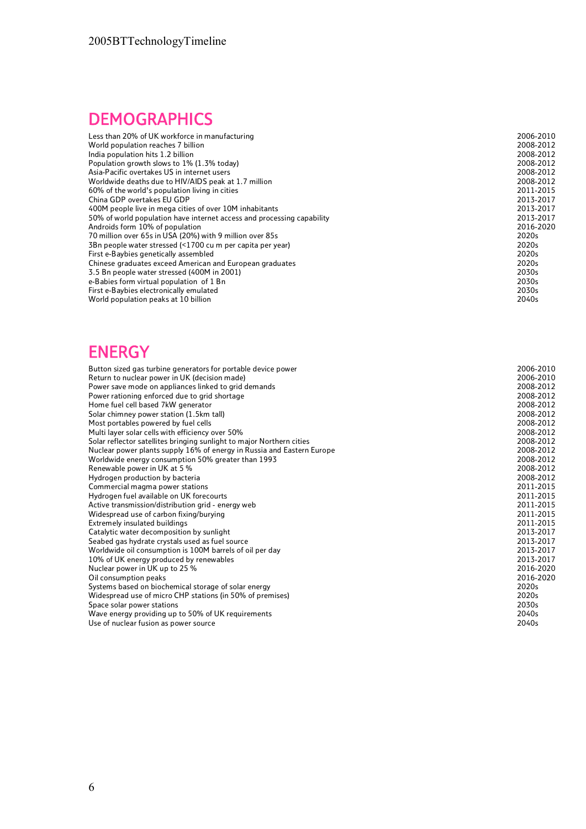# **DEMOGRAPHICS**

| Less than 20% of UK workforce in manufacturing                         | 2006-2010 |
|------------------------------------------------------------------------|-----------|
| World population reaches 7 billion                                     | 2008-2012 |
| India population hits 1.2 billion                                      | 2008-2012 |
| Population growth slows to 1% (1.3% today)                             | 2008-2012 |
| Asia-Pacific overtakes US in internet users                            | 2008-2012 |
| Worldwide deaths due to HIV/AIDS peak at 1.7 million                   | 2008-2012 |
| 60% of the world's population living in cities                         | 2011-2015 |
| China GDP overtakes EU GDP                                             | 2013-2017 |
| 400M people live in mega cities of over 10M inhabitants                | 2013-2017 |
| 50% of world population have internet access and processing capability | 2013-2017 |
| Androids form 10% of population                                        | 2016-2020 |
| 70 million over 65s in USA (20%) with 9 million over 85s               | 2020s     |
| 3Bn people water stressed (<1700 cu m per capita per year)             | 2020s     |
| First e-Baybies genetically assembled                                  | 2020s     |
| Chinese graduates exceed American and European graduates               | 2020s     |
| 3.5 Bn people water stressed (400M in 2001)                            | 2030s     |
| e-Babies form virtual population of 1 Bn                               | 2030s     |
| First e-Baybies electronically emulated                                | 2030s     |
| World population peaks at 10 billion                                   | 2040s     |
|                                                                        |           |

#### ENERGY

| Button sized gas turbine generators for portable device power          | 2006-2010 |
|------------------------------------------------------------------------|-----------|
| Return to nuclear power in UK (decision made)                          | 2006-2010 |
| Power save mode on appliances linked to grid demands                   | 2008-2012 |
| Power rationing enforced due to grid shortage                          | 2008-2012 |
| Home fuel cell based 7kW generator                                     | 2008-2012 |
| Solar chimney power station (1.5km tall)                               | 2008-2012 |
| Most portables powered by fuel cells                                   | 2008-2012 |
| Multi layer solar cells with efficiency over 50%                       | 2008-2012 |
| Solar reflector satellites bringing sunlight to major Northern cities  | 2008-2012 |
| Nuclear power plants supply 16% of energy in Russia and Eastern Europe | 2008-2012 |
| Worldwide energy consumption 50% greater than 1993                     | 2008-2012 |
| Renewable power in UK at 5 %                                           | 2008-2012 |
| Hydrogen production by bacteria                                        | 2008-2012 |
| Commercial magma power stations                                        | 2011-2015 |
| Hydrogen fuel available on UK forecourts                               | 2011-2015 |
| Active transmission/distribution grid - energy web                     | 2011-2015 |
| Widespread use of carbon fixing/burying                                | 2011-2015 |
| Extremely insulated buildings                                          | 2011-2015 |
| Catalytic water decomposition by sunlight                              | 2013-2017 |
| Seabed gas hydrate crystals used as fuel source                        | 2013-2017 |
| Worldwide oil consumption is 100M barrels of oil per day               | 2013-2017 |
| 10% of UK energy produced by renewables                                | 2013-2017 |
| Nuclear power in UK up to 25 %                                         | 2016-2020 |
| Oil consumption peaks                                                  | 2016-2020 |
| Systems based on biochemical storage of solar energy                   | 2020s     |
| Widespread use of micro CHP stations (in 50% of premises)              | 2020s     |
| Space solar power stations                                             | 2030s     |
| Wave energy providing up to 50% of UK requirements                     | 2040s     |
| Use of nuclear fusion as power source                                  | 2040s     |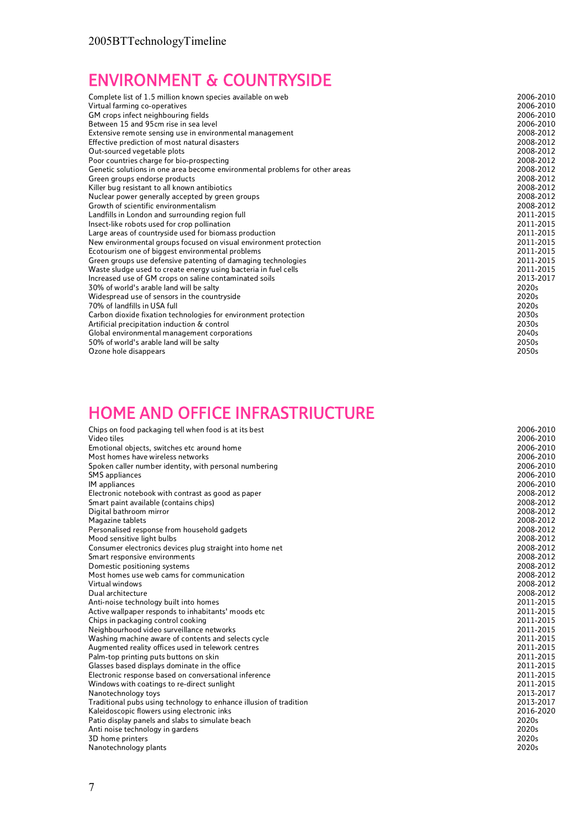# ENVIRONMENT & COUNTRYSIDE

| Complete list of 1.5 million known species available on web                 | 2006-2010 |
|-----------------------------------------------------------------------------|-----------|
| Virtual farming co-operatives                                               | 2006-2010 |
| GM crops infect neighbouring fields                                         | 2006-2010 |
| Between 15 and 95cm rise in sea level                                       | 2006-2010 |
| Extensive remote sensing use in environmental management                    | 2008-2012 |
| Effective prediction of most natural disasters                              | 2008-2012 |
| Out-sourced vegetable plots                                                 | 2008-2012 |
| Poor countries charge for bio-prospecting                                   | 2008-2012 |
| Genetic solutions in one area become environmental problems for other areas | 2008-2012 |
| Green groups endorse products                                               | 2008-2012 |
| Killer bug resistant to all known antibiotics                               | 2008-2012 |
| Nuclear power generally accepted by green groups                            | 2008-2012 |
| Growth of scientific environmentalism                                       | 2008-2012 |
| Landfills in London and surrounding region full                             | 2011-2015 |
| Insect-like robots used for crop pollination                                | 2011-2015 |
| Large areas of countryside used for biomass production                      | 2011-2015 |
| New environmental groups focused on visual environment protection           | 2011-2015 |
| Ecotourism one of biggest environmental problems                            | 2011-2015 |
| Green groups use defensive patenting of damaging technologies               | 2011-2015 |
| Waste sludge used to create energy using bacteria in fuel cells             | 2011-2015 |
| Increased use of GM crops on saline contaminated soils                      | 2013-2017 |
| 30% of world's arable land will be salty                                    | 2020s     |
| Widespread use of sensors in the countryside                                | 2020s     |
| 70% of landfills in USA full                                                | 2020s     |
| Carbon dioxide fixation technologies for environment protection             | 2030s     |
| Artificial precipitation induction & control                                | 2030s     |
| Global environmental management corporations                                | 2040s     |
| 50% of world's arable land will be salty                                    | 2050s     |
| Ozone hole disappears                                                       | 2050s     |

#### HOME AND OFFICE INFRASTRIUCTURE

| Video tiles<br>2006-2010<br>2006-2010<br>Emotional objects, switches etc around home<br>Most homes have wireless networks<br>2006-2010<br>2006-2010<br>Spoken caller number identity, with personal numbering<br>2006-2010<br><b>SMS</b> appliances<br>2006-2010<br>IM appliances<br>2008-2012<br>Electronic notebook with contrast as good as paper |
|------------------------------------------------------------------------------------------------------------------------------------------------------------------------------------------------------------------------------------------------------------------------------------------------------------------------------------------------------|
|                                                                                                                                                                                                                                                                                                                                                      |
|                                                                                                                                                                                                                                                                                                                                                      |
|                                                                                                                                                                                                                                                                                                                                                      |
|                                                                                                                                                                                                                                                                                                                                                      |
|                                                                                                                                                                                                                                                                                                                                                      |
|                                                                                                                                                                                                                                                                                                                                                      |
|                                                                                                                                                                                                                                                                                                                                                      |
| 2008-2012<br>Smart paint available (contains chips)                                                                                                                                                                                                                                                                                                  |
| 2008-2012<br>Digital bathroom mirror                                                                                                                                                                                                                                                                                                                 |
| 2008-2012<br>Magazine tablets                                                                                                                                                                                                                                                                                                                        |
| 2008-2012<br>Personalised response from household gadgets                                                                                                                                                                                                                                                                                            |
| 2008-2012<br>Mood sensitive light bulbs                                                                                                                                                                                                                                                                                                              |
| 2008-2012<br>Consumer electronics devices plug straight into home net                                                                                                                                                                                                                                                                                |
| 2008-2012<br>Smart responsive environments                                                                                                                                                                                                                                                                                                           |
| 2008-2012<br>Domestic positioning systems                                                                                                                                                                                                                                                                                                            |
| Most homes use web cams for communication<br>2008-2012                                                                                                                                                                                                                                                                                               |
| Virtual windows<br>2008-2012                                                                                                                                                                                                                                                                                                                         |
| Dual architecture<br>2008-2012                                                                                                                                                                                                                                                                                                                       |
| 2011-2015<br>Anti-noise technology built into homes                                                                                                                                                                                                                                                                                                  |
| 2011-2015<br>Active wallpaper responds to inhabitants' moods etc                                                                                                                                                                                                                                                                                     |
| 2011-2015<br>Chips in packaging control cooking                                                                                                                                                                                                                                                                                                      |
| 2011-2015<br>Neighbourhood video surveillance networks                                                                                                                                                                                                                                                                                               |
| 2011-2015<br>Washing machine aware of contents and selects cycle                                                                                                                                                                                                                                                                                     |
| 2011-2015<br>Augmented reality offices used in telework centres                                                                                                                                                                                                                                                                                      |
| 2011-2015<br>Palm-top printing puts buttons on skin                                                                                                                                                                                                                                                                                                  |
| 2011-2015<br>Glasses based displays dominate in the office                                                                                                                                                                                                                                                                                           |
| 2011-2015<br>Electronic response based on conversational inference                                                                                                                                                                                                                                                                                   |
| 2011-2015<br>Windows with coatings to re-direct sunlight                                                                                                                                                                                                                                                                                             |
| 2013-2017<br>Nanotechnology toys                                                                                                                                                                                                                                                                                                                     |
| 2013-2017<br>Traditional pubs using technology to enhance illusion of tradition                                                                                                                                                                                                                                                                      |
| 2016-2020<br>Kaleidoscopic flowers using electronic inks                                                                                                                                                                                                                                                                                             |
| 2020s<br>Patio display panels and slabs to simulate beach                                                                                                                                                                                                                                                                                            |
| 2020s<br>Anti noise technology in gardens                                                                                                                                                                                                                                                                                                            |
| 2020s<br>3D home printers                                                                                                                                                                                                                                                                                                                            |
| 2020s<br>Nanotechnology plants                                                                                                                                                                                                                                                                                                                       |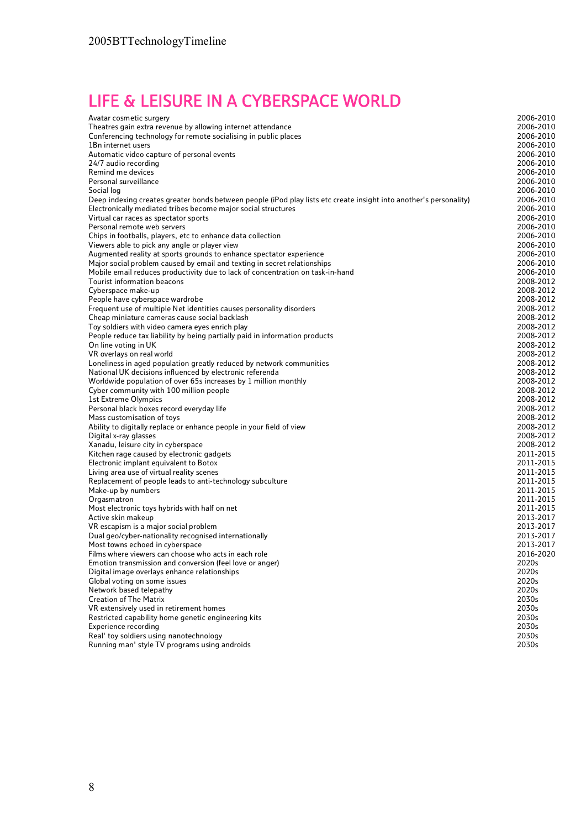## LIFE & LEISURE IN A CYBERSPACE WORLD

| Avatar cosmetic surgery                                                                                            | 2006-2010              |
|--------------------------------------------------------------------------------------------------------------------|------------------------|
| Theatres gain extra revenue by allowing internet attendance                                                        | 2006-2010              |
| Conferencing technology for remote socialising in public places                                                    | 2006-2010              |
| 1Bn internet users                                                                                                 | 2006-2010              |
| Automatic video capture of personal events                                                                         | 2006-2010              |
| 24/7 audio recording                                                                                               | 2006-2010              |
| Remind me devices                                                                                                  | 2006-2010              |
| Personal surveillance                                                                                              | 2006-2010              |
| Social log                                                                                                         | 2006-2010              |
| Deep indexing creates greater bonds between people (iPod play lists etc create insight into another's personality) | 2006-2010              |
| Electronically mediated tribes become major social structures                                                      | 2006-2010              |
| Virtual car races as spectator sports                                                                              | 2006-2010              |
| Personal remote web servers                                                                                        | 2006-2010              |
| Chips in footballs, players, etc to enhance data collection                                                        | 2006-2010              |
| Viewers able to pick any angle or player view                                                                      | 2006-2010              |
| Augmented reality at sports grounds to enhance spectator experience                                                | 2006-2010              |
| Major social problem caused by email and texting in secret relationships                                           | 2006-2010              |
| Mobile email reduces productivity due to lack of concentration on task-in-hand                                     | 2006-2010              |
| Tourist information beacons                                                                                        | 2008-2012              |
| Cyberspace make-up                                                                                                 | 2008-2012              |
| People have cyberspace wardrobe                                                                                    | 2008-2012              |
| Frequent use of multiple Net identities causes personality disorders                                               | 2008-2012              |
| Cheap miniature cameras cause social backlash                                                                      | 2008-2012              |
| Toy soldiers with video camera eyes enrich play                                                                    | 2008-2012              |
| People reduce tax liability by being partially paid in information products                                        | 2008-2012              |
| On line voting in UK                                                                                               | 2008-2012              |
| VR overlays on real world                                                                                          | 2008-2012              |
| Loneliness in aged population greatly reduced by network communities                                               | 2008-2012              |
| National UK decisions influenced by electronic referenda                                                           | 2008-2012              |
| Worldwide population of over 65s increases by 1 million monthly                                                    | 2008-2012<br>2008-2012 |
| Cyber community with 100 million people<br>1st Extreme Olympics                                                    | 2008-2012              |
| Personal black boxes record everyday life                                                                          | 2008-2012              |
| Mass customisation of toys                                                                                         | 2008-2012              |
| Ability to digitally replace or enhance people in your field of view                                               | 2008-2012              |
| Digital x-ray glasses                                                                                              | 2008-2012              |
| Xanadu, leisure city in cyberspace                                                                                 | 2008-2012              |
| Kitchen rage caused by electronic gadgets                                                                          | 2011-2015              |
| Electronic implant equivalent to Botox                                                                             | 2011-2015              |
| Living area use of virtual reality scenes                                                                          | 2011-2015              |
| Replacement of people leads to anti-technology subculture                                                          | 2011-2015              |
| Make-up by numbers                                                                                                 | 2011-2015              |
| Orgasmatron                                                                                                        | 2011-2015              |
| Most electronic toys hybrids with half on net                                                                      | 2011-2015              |
| Active skin makeup                                                                                                 | 2013-2017              |
| VR escapism is a major social problem                                                                              | 2013-2017              |
| Dual geo/cyber-nationality recognised internationally                                                              | 2013-2017              |
| Most towns echoed in cyberspace                                                                                    | 2013-2017              |
| Films where viewers can choose who acts in each role                                                               | 2016-2020              |
| Emotion transmission and conversion (feel love or anger)                                                           | 2020s                  |
| Digital image overlays enhance relationships                                                                       | 2020s                  |
| Global voting on some issues                                                                                       | 2020s                  |
| Network based telepathy                                                                                            | 2020s                  |
| <b>Creation of The Matrix</b>                                                                                      | 2030s                  |
| VR extensively used in retirement homes                                                                            | 2030s                  |
| Restricted capability home genetic engineering kits                                                                | 2030s                  |
| Experience recording                                                                                               | 2030s                  |
| Real' toy soldiers using nanotechnology                                                                            | 2030s                  |
| Running man' style TV programs using androids                                                                      | 2030s                  |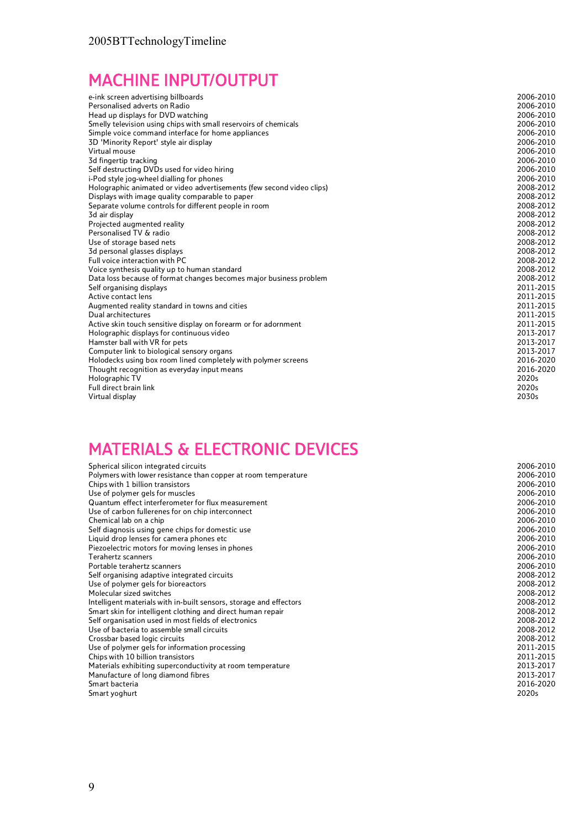## MACHINE INPUT/OUTPUT

| e-ink screen advertising billboards                                   | 2006-2010 |
|-----------------------------------------------------------------------|-----------|
| Personalised adverts on Radio                                         | 2006-2010 |
| Head up displays for DVD watching                                     | 2006-2010 |
| Smelly television using chips with small reservoirs of chemicals      | 2006-2010 |
| Simple voice command interface for home appliances                    | 2006-2010 |
| 3D 'Minority Report' style air display                                | 2006-2010 |
| Virtual mouse                                                         | 2006-2010 |
| 3d fingertip tracking                                                 | 2006-2010 |
| Self destructing DVDs used for video hiring                           | 2006-2010 |
| i-Pod style jog-wheel dialling for phones                             | 2006-2010 |
| Holographic animated or video advertisements (few second video clips) | 2008-2012 |
| Displays with image quality comparable to paper                       | 2008-2012 |
| Separate volume controls for different people in room                 | 2008-2012 |
| 3d air display                                                        | 2008-2012 |
| Projected augmented reality                                           | 2008-2012 |
| Personalised TV & radio                                               | 2008-2012 |
| Use of storage based nets                                             | 2008-2012 |
| 3d personal glasses displays                                          | 2008-2012 |
| Full voice interaction with PC                                        | 2008-2012 |
| Voice synthesis quality up to human standard                          | 2008-2012 |
| Data loss because of format changes becomes major business problem    | 2008-2012 |
| Self organising displays                                              | 2011-2015 |
| Active contact lens                                                   | 2011-2015 |
| Augmented reality standard in towns and cities                        | 2011-2015 |
| Dual architectures                                                    | 2011-2015 |
| Active skin touch sensitive display on forearm or for adornment       | 2011-2015 |
| Holographic displays for continuous video                             | 2013-2017 |
| Hamster ball with VR for pets                                         | 2013-2017 |
| Computer link to biological sensory organs                            | 2013-2017 |
| Holodecks using box room lined completely with polymer screens        | 2016-2020 |
| Thought recognition as everyday input means                           | 2016-2020 |
| Holographic TV                                                        | 2020s     |
| Full direct brain link                                                | 2020s     |
| Virtual display                                                       | 2030s     |

#### MATERIALS & ELECTRONIC DEVICES

| Spherical silicon integrated circuits                              | 2006-2010 |
|--------------------------------------------------------------------|-----------|
| Polymers with lower resistance than copper at room temperature     | 2006-2010 |
| Chips with 1 billion transistors                                   | 2006-2010 |
| Use of polymer gels for muscles                                    | 2006-2010 |
| Quantum effect interferometer for flux measurement                 | 2006-2010 |
| Use of carbon fullerenes for on chip interconnect                  | 2006-2010 |
| Chemical lab on a chip                                             | 2006-2010 |
| Self diagnosis using gene chips for domestic use                   | 2006-2010 |
| Liquid drop lenses for camera phones etc                           | 2006-2010 |
| Piezoelectric motors for moving lenses in phones                   | 2006-2010 |
| Terahertz scanners                                                 | 2006-2010 |
| Portable terahertz scanners                                        | 2006-2010 |
| Self organising adaptive integrated circuits                       | 2008-2012 |
| Use of polymer gels for bioreactors                                | 2008-2012 |
| Molecular sized switches                                           | 2008-2012 |
| Intelligent materials with in-built sensors, storage and effectors | 2008-2012 |
| Smart skin for intelligent clothing and direct human repair        | 2008-2012 |
| Self organisation used in most fields of electronics               | 2008-2012 |
| Use of bacteria to assemble small circuits                         | 2008-2012 |
| Crossbar based logic circuits                                      | 2008-2012 |
| Use of polymer gels for information processing                     | 2011-2015 |
| Chips with 10 billion transistors                                  | 2011-2015 |
| Materials exhibiting superconductivity at room temperature         | 2013-2017 |
| Manufacture of long diamond fibres                                 | 2013-2017 |
| Smart bacteria                                                     | 2016-2020 |
| Smart yoghurt                                                      | 2020s     |
|                                                                    |           |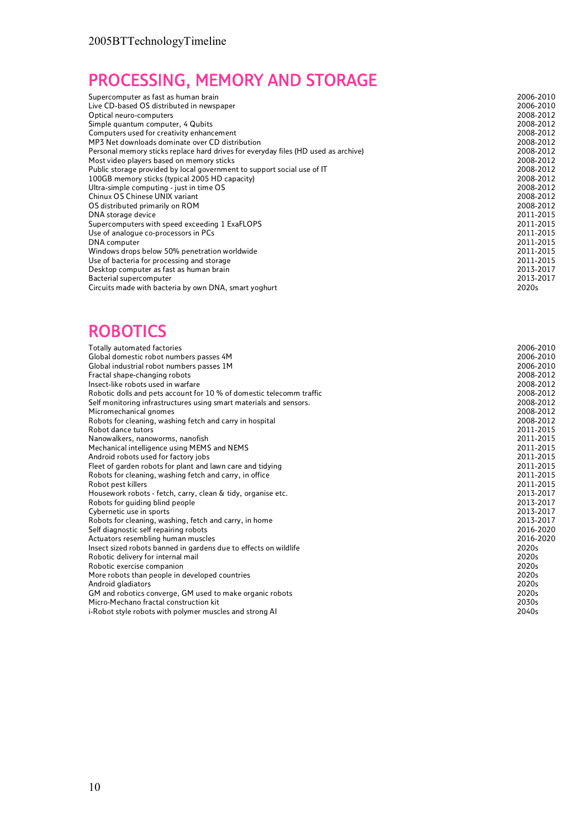# PROCESSING, MEMORY AND STORAGE

| Supercomputer as fast as human brain                                               | 2006-2010 |
|------------------------------------------------------------------------------------|-----------|
| Live CD-based OS distributed in newspaper                                          | 2006-2010 |
| Optical neuro-computers                                                            | 2008-2012 |
| Simple quantum computer, 4 Qubits                                                  | 2008-2012 |
| Computers used for creativity enhancement                                          | 2008-2012 |
| MP3 Net downloads dominate over CD distribution                                    | 2008-2012 |
| Personal memory sticks replace hard drives for everyday files (HD used as archive) | 2008-2012 |
| Most video players based on memory sticks                                          | 2008-2012 |
| Public storage provided by local government to support social use of IT            | 2008-2012 |
| 100GB memory sticks (typical 2005 HD capacity)                                     | 2008-2012 |
| Ultra-simple computing - just in time OS                                           | 2008-2012 |
| Chinux OS Chinese UNIX variant                                                     | 2008-2012 |
| OS distributed primarily on ROM                                                    | 2008-2012 |
| DNA storage device                                                                 | 2011-2015 |
| Supercomputers with speed exceeding 1 ExaFLOPS                                     | 2011-2015 |
| Use of analogue co-processors in PCs                                               | 2011-2015 |
| DNA computer                                                                       | 2011-2015 |
| Windows drops below 50% penetration worldwide                                      | 2011-2015 |
| Use of bacteria for processing and storage                                         | 2011-2015 |
| Desktop computer as fast as human brain                                            | 2013-2017 |
| Bacterial supercomputer                                                            | 2013-2017 |
| Circuits made with bacteria by own DNA, smart yoghurt                              | 2020s     |

#### **ROBOTICS**

| Totally automated factories                                          | 2006-2010 |
|----------------------------------------------------------------------|-----------|
| Global domestic robot numbers passes 4M                              | 2006-2010 |
| Global industrial robot numbers passes 1M                            | 2006-2010 |
| Fractal shape-changing robots                                        | 2008-2012 |
| Insect-like robots used in warfare                                   | 2008-2012 |
| Robotic dolls and pets account for 10 % of domestic telecomm traffic | 2008-2012 |
| Self monitoring infrastructures using smart materials and sensors.   | 2008-2012 |
| Micromechanical gnomes                                               | 2008-2012 |
| Robots for cleaning, washing fetch and carry in hospital             | 2008-2012 |
| Robot dance tutors                                                   | 2011-2015 |
| Nanowalkers, nanoworms, nanofish                                     | 2011-2015 |
| Mechanical intelligence using MEMS and NEMS                          | 2011-2015 |
| Android robots used for factory jobs                                 | 2011-2015 |
| Fleet of garden robots for plant and lawn care and tidying           | 2011-2015 |
| Robots for cleaning, washing fetch and carry, in office              | 2011-2015 |
| Robot pest killers                                                   | 2011-2015 |
| Housework robots - fetch, carry, clean & tidy, organise etc.         | 2013-2017 |
| Robots for quiding blind people                                      | 2013-2017 |
| Cybernetic use in sports                                             | 2013-2017 |
| Robots for cleaning, washing, fetch and carry, in home               | 2013-2017 |
| Self diagnostic self repairing robots                                | 2016-2020 |
| Actuators resembling human muscles                                   | 2016-2020 |
| Insect sized robots banned in gardens due to effects on wildlife     | 2020s     |
| Robotic delivery for internal mail                                   | 2020s     |
| Robotic exercise companion                                           | 2020s     |
| More robots than people in developed countries                       | 2020s     |
| Android gladiators                                                   | 2020s     |
| GM and robotics converge, GM used to make organic robots             | 2020s     |
| Micro-Mechano fractal construction kit                               | 2030s     |
| i-Robot style robots with polymer muscles and strong AI              | 2040s     |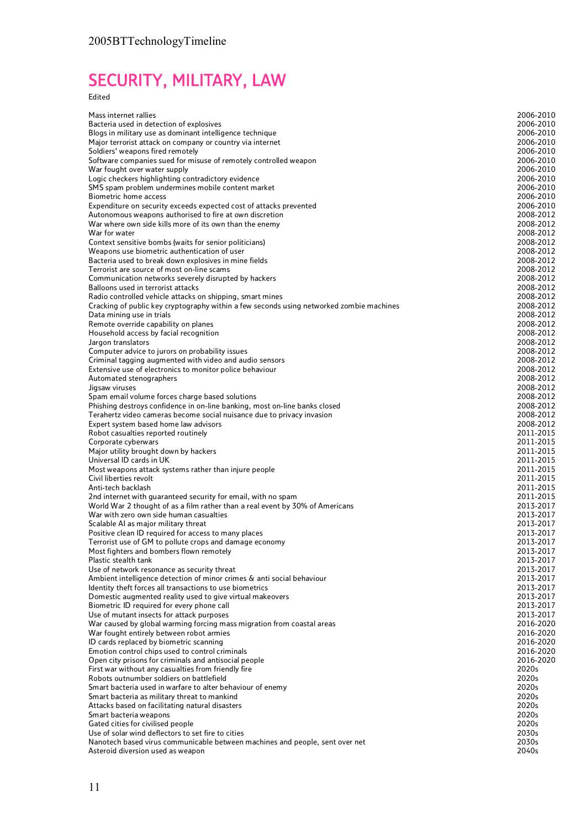# SECURITY, MILITARY, LAW

#### Edited

| Mass internet rallies                                                                                                                                 | 2006-2010              |
|-------------------------------------------------------------------------------------------------------------------------------------------------------|------------------------|
| Bacteria used in detection of explosives                                                                                                              | 2006-2010              |
| Blogs in military use as dominant intelligence technique                                                                                              | 2006-2010              |
| Major terrorist attack on company or country via internet<br>Soldiers' weapons fired remotely                                                         | 2006-2010<br>2006-2010 |
| Software companies sued for misuse of remotely controlled weapon                                                                                      | 2006-2010              |
| War fought over water supply                                                                                                                          | 2006-2010              |
| Logic checkers highlighting contradictory evidence                                                                                                    | 2006-2010              |
| SMS spam problem undermines mobile content market                                                                                                     | 2006-2010              |
| <b>Biometric home access</b>                                                                                                                          | 2006-2010              |
| Expenditure on security exceeds expected cost of attacks prevented                                                                                    | 2006-2010              |
| Autonomous weapons authorised to fire at own discretion<br>War where own side kills more of its own than the enemy                                    | 2008-2012<br>2008-2012 |
| War for water                                                                                                                                         | 2008-2012              |
| Context sensitive bombs (waits for senior politicians)                                                                                                | 2008-2012              |
| Weapons use biometric authentication of user                                                                                                          | 2008-2012              |
| Bacteria used to break down explosives in mine fields                                                                                                 | 2008-2012              |
| Terrorist are source of most on-line scams                                                                                                            | 2008-2012              |
| Communication networks severely disrupted by hackers                                                                                                  | 2008-2012              |
| Balloons used in terrorist attacks                                                                                                                    | 2008-2012              |
| Radio controlled vehicle attacks on shipping, smart mines<br>Cracking of public key cryptography within a few seconds using networked zombie machines | 2008-2012<br>2008-2012 |
| Data mining use in trials                                                                                                                             | 2008-2012              |
| Remote override capability on planes                                                                                                                  | 2008-2012              |
| Household access by facial recognition                                                                                                                | 2008-2012              |
| Jargon translators                                                                                                                                    | 2008-2012              |
| Computer advice to jurors on probability issues                                                                                                       | 2008-2012              |
| Criminal tagging augmented with video and audio sensors                                                                                               | 2008-2012              |
| Extensive use of electronics to monitor police behaviour                                                                                              | 2008-2012              |
| Automated stenographers<br>Jigsaw viruses                                                                                                             | 2008-2012<br>2008-2012 |
| Spam email volume forces charge based solutions                                                                                                       | 2008-2012              |
| Phishing destroys confidence in on-line banking, most on-line banks closed                                                                            | 2008-2012              |
| Terahertz video cameras become social nuisance due to privacy invasion                                                                                | 2008-2012              |
| Expert system based home law advisors                                                                                                                 | 2008-2012              |
| Robot casualties reported routinely                                                                                                                   | 2011-2015              |
| Corporate cyberwars                                                                                                                                   | 2011-2015              |
| Major utility brought down by hackers                                                                                                                 | 2011-2015<br>2011-2015 |
| Universal ID cards in UK<br>Most weapons attack systems rather than injure people                                                                     | 2011-2015              |
| Civil liberties revolt                                                                                                                                | 2011-2015              |
| Anti-tech backlash                                                                                                                                    | 2011-2015              |
| 2nd internet with guaranteed security for email, with no spam                                                                                         | 2011-2015              |
| World War 2 thought of as a film rather than a real event by 30% of Americans                                                                         | 2013-2017              |
| War with zero own side human casualties                                                                                                               | 2013-2017              |
| Scalable AI as major military threat                                                                                                                  | 2013-2017              |
| Positive clean ID required for access to many places<br>Terrorist use of GM to pollute crops and damage economy                                       | 2013-2017<br>2013-2017 |
| Most fighters and bombers flown remotely                                                                                                              | 2013-2017              |
| Plastic stealth tank                                                                                                                                  | 2013-2017              |
| Use of network resonance as security threat                                                                                                           | 2013-2017              |
| Ambient intelligence detection of minor crimes & anti social behaviour                                                                                | 2013-2017              |
| Identity theft forces all transactions to use biometrics                                                                                              | 2013-2017              |
| Domestic augmented reality used to give virtual makeovers                                                                                             | 2013-2017              |
| Biometric ID required for every phone call                                                                                                            | 2013-2017              |
| Use of mutant insects for attack purposes<br>War caused by global warming forcing mass migration from coastal areas                                   | 2013-2017<br>2016-2020 |
| War fought entirely between robot armies                                                                                                              | 2016-2020              |
| ID cards replaced by biometric scanning                                                                                                               | 2016-2020              |
| Emotion control chips used to control criminals                                                                                                       | 2016-2020              |
| Open city prisons for criminals and antisocial people                                                                                                 | 2016-2020              |
| First war without any casualties from friendly fire                                                                                                   | 2020s                  |
| Robots outnumber soldiers on battlefield                                                                                                              | 2020s                  |
| Smart bacteria used in warfare to alter behaviour of enemy                                                                                            | 2020s                  |
| Smart bacteria as military threat to mankind                                                                                                          | 2020s<br>2020s         |
| Attacks based on facilitating natural disasters<br>Smart bacteria weapons                                                                             | 2020s                  |
| Gated cities for civilised people                                                                                                                     | 2020s                  |
| Use of solar wind deflectors to set fire to cities                                                                                                    | 2030s                  |
| Nanotech based virus communicable between machines and people, sent over net                                                                          | 2030s                  |
| Asteroid diversion used as weapon                                                                                                                     | 2040s                  |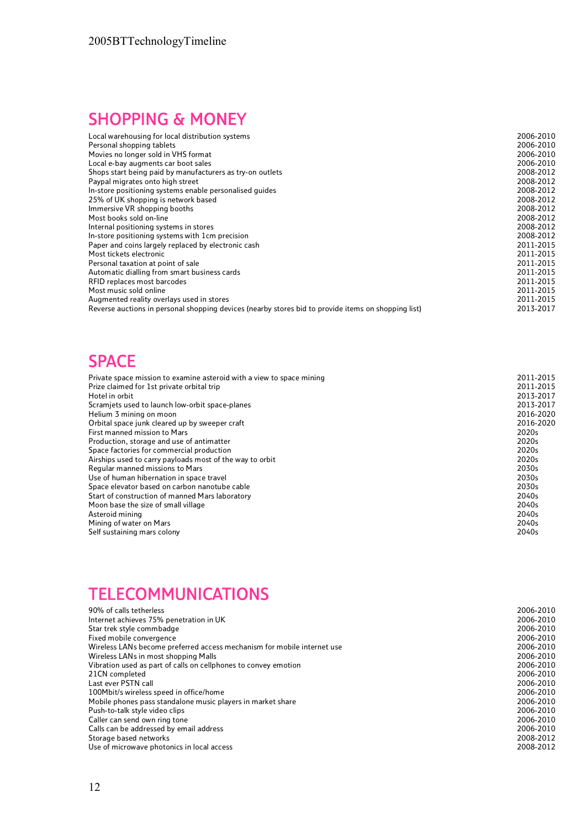# SHOPPING & MONEY

| Local warehousing for local distribution systems                                                    | 2006-2010 |
|-----------------------------------------------------------------------------------------------------|-----------|
| Personal shopping tablets                                                                           | 2006-2010 |
| Movies no longer sold in VHS format                                                                 | 2006-2010 |
| Local e-bay augments car boot sales                                                                 | 2006-2010 |
| Shops start being paid by manufacturers as try-on outlets                                           | 2008-2012 |
| Paypal migrates onto high street                                                                    | 2008-2012 |
| In-store positioning systems enable personalised quides                                             | 2008-2012 |
| 25% of UK shopping is network based                                                                 | 2008-2012 |
| Immersive VR shopping booths                                                                        | 2008-2012 |
| Most books sold on-line                                                                             | 2008-2012 |
| Internal positioning systems in stores                                                              | 2008-2012 |
| In-store positioning systems with 1cm precision                                                     | 2008-2012 |
| Paper and coins largely replaced by electronic cash                                                 | 2011-2015 |
| Most tickets electronic                                                                             | 2011-2015 |
| Personal taxation at point of sale                                                                  | 2011-2015 |
| Automatic dialling from smart business cards                                                        | 2011-2015 |
| RFID replaces most barcodes                                                                         | 2011-2015 |
| Most music sold online                                                                              | 2011-2015 |
| Augmented reality overlays used in stores                                                           | 2011-2015 |
| Reverse auctions in personal shopping devices (nearby stores bid to provide items on shopping list) | 2013-2017 |

#### SPACE

| Private space mission to examine asteroid with a view to space mining | 2011-2015 |
|-----------------------------------------------------------------------|-----------|
| Prize claimed for 1st private orbital trip                            | 2011-2015 |
| Hotel in orbit                                                        | 2013-2017 |
| Scramiets used to launch low-orbit space-planes                       | 2013-2017 |
| Helium 3 mining on moon                                               | 2016-2020 |
| Orbital space junk cleared up by sweeper craft                        | 2016-2020 |
| First manned mission to Mars                                          | 2020s     |
| Production, storage and use of antimatter                             | 2020s     |
| Space factories for commercial production                             | 2020s     |
| Airships used to carry payloads most of the way to orbit              | 2020s     |
| Regular manned missions to Mars                                       | 2030s     |
| Use of human hibernation in space travel                              | 2030s     |
| Space elevator based on carbon nanotube cable                         | 2030s     |
| Start of construction of manned Mars laboratory                       | 2040s     |
| Moon base the size of small village                                   | 2040s     |
| Asteroid mining                                                       | 2040s     |
| Mining of water on Mars                                               | 2040s     |
| Self sustaining mars colony                                           | 2040s     |

#### **TELECOMMUNICATIONS**

| 90% of calls tetherless                                                 | 2006-2010 |
|-------------------------------------------------------------------------|-----------|
| Internet achieves 75% penetration in UK                                 | 2006-2010 |
| Star trek style commbadge                                               | 2006-2010 |
| Fixed mobile convergence                                                | 2006-2010 |
| Wireless LANs become preferred access mechanism for mobile internet use | 2006-2010 |
| Wireless LANs in most shopping Malls                                    | 2006-2010 |
| Vibration used as part of calls on cellphones to convey emotion         | 2006-2010 |
| 21CN completed                                                          | 2006-2010 |
| Last ever PSTN call                                                     | 2006-2010 |
| 100Mbit/s wireless speed in office/home                                 | 2006-2010 |
| Mobile phones pass standalone music players in market share             | 2006-2010 |
| Push-to-talk style video clips                                          | 2006-2010 |
| Caller can send own ring tone                                           | 2006-2010 |
| Calls can be addressed by email address                                 | 2006-2010 |
| Storage based networks                                                  | 2008-2012 |
| Use of microwave photonics in local access                              | 2008-2012 |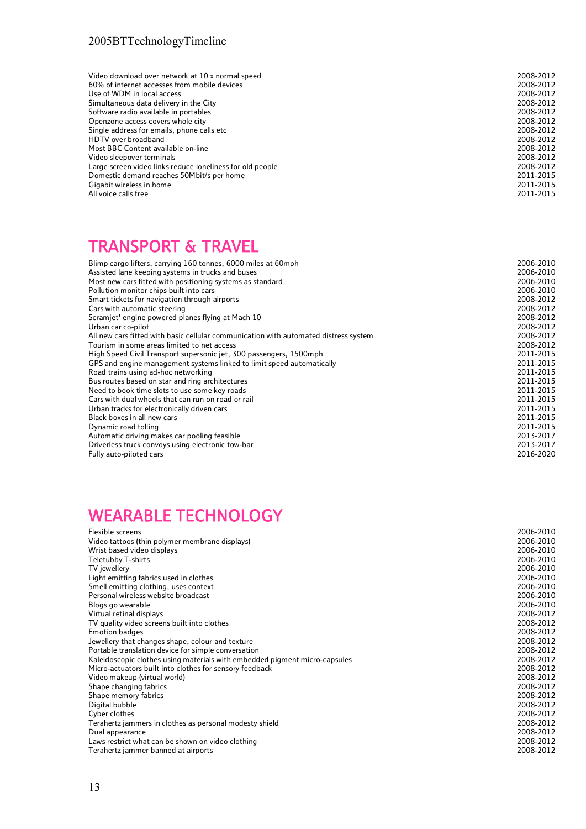| Video download over network at 10 x normal speed          | 2008-2012 |
|-----------------------------------------------------------|-----------|
| 60% of internet accesses from mobile devices              | 2008-2012 |
| Use of WDM in local access                                | 2008-2012 |
| Simultaneous data delivery in the City                    | 2008-2012 |
| Software radio available in portables                     | 2008-2012 |
| Openzone access covers whole city                         | 2008-2012 |
| Single address for emails, phone calls etc                | 2008-2012 |
| HDTV over broadband                                       | 2008-2012 |
| Most BBC Content available on-line                        | 2008-2012 |
| Video sleepover terminals                                 | 2008-2012 |
| Large screen video links reduce loneliness for old people | 2008-2012 |
| Domestic demand reaches 50Mbit/s per home                 | 2011-2015 |
| Gigabit wireless in home                                  | 2011-2015 |
| All voice calls free                                      | 2011-2015 |

#### TRANSPORT & TRAVEL

| Blimp cargo lifters, carrying 160 tonnes, 6000 miles at 60mph                        | 2006-2010 |
|--------------------------------------------------------------------------------------|-----------|
| Assisted lane keeping systems in trucks and buses                                    | 2006-2010 |
| Most new cars fitted with positioning systems as standard                            | 2006-2010 |
| Pollution monitor chips built into cars                                              | 2006-2010 |
| Smart tickets for navigation through airports                                        | 2008-2012 |
| Cars with automatic steering                                                         | 2008-2012 |
| Scramjet' engine powered planes flying at Mach 10                                    | 2008-2012 |
| Urban car co-pilot                                                                   | 2008-2012 |
| All new cars fitted with basic cellular communication with automated distress system | 2008-2012 |
| Tourism in some areas limited to net access                                          | 2008-2012 |
| High Speed Civil Transport supersonic jet, 300 passengers, 1500mph                   | 2011-2015 |
| GPS and engine management systems linked to limit speed automatically                | 2011-2015 |
| Road trains using ad-hoc networking                                                  | 2011-2015 |
| Bus routes based on star and ring architectures                                      | 2011-2015 |
| Need to book time slots to use some key roads                                        | 2011-2015 |
| Cars with dual wheels that can run on road or rail                                   | 2011-2015 |
| Urban tracks for electronically driven cars                                          | 2011-2015 |
| Black boxes in all new cars                                                          | 2011-2015 |
| Dynamic road tolling                                                                 | 2011-2015 |
| Automatic driving makes car pooling feasible                                         | 2013-2017 |
| Driverless truck convoys using electronic tow-bar                                    | 2013-2017 |
| Fully auto-piloted cars                                                              | 2016-2020 |
|                                                                                      |           |

# WEARABLE TECHNOLOGY

| Flexible screens                                                           | 2006-2010 |
|----------------------------------------------------------------------------|-----------|
| Video tattoos (thin polymer membrane displays)                             | 2006-2010 |
| Wrist based video displays                                                 | 2006-2010 |
| Teletubby T-shirts                                                         | 2006-2010 |
| TV jewellery                                                               | 2006-2010 |
| Light emitting fabrics used in clothes                                     | 2006-2010 |
| Smell emitting clothing, uses context                                      | 2006-2010 |
| Personal wireless website broadcast                                        | 2006-2010 |
| Blogs go wearable                                                          | 2006-2010 |
| Virtual retinal displays                                                   | 2008-2012 |
| TV quality video screens built into clothes                                | 2008-2012 |
| <b>Emotion badges</b>                                                      | 2008-2012 |
| Jewellery that changes shape, colour and texture                           | 2008-2012 |
| Portable translation device for simple conversation                        | 2008-2012 |
| Kaleidoscopic clothes using materials with embedded pigment micro-capsules | 2008-2012 |
| Micro-actuators built into clothes for sensory feedback                    | 2008-2012 |
| Video makeup (virtual world)                                               | 2008-2012 |
| Shape changing fabrics                                                     | 2008-2012 |
| Shape memory fabrics                                                       | 2008-2012 |
| Digital bubble                                                             | 2008-2012 |
| Cyber clothes                                                              | 2008-2012 |
| Terahertz jammers in clothes as personal modesty shield                    | 2008-2012 |
| Dual appearance                                                            | 2008-2012 |
| Laws restrict what can be shown on video clothing                          | 2008-2012 |
| Terahertz jammer banned at airports                                        | 2008-2012 |
|                                                                            |           |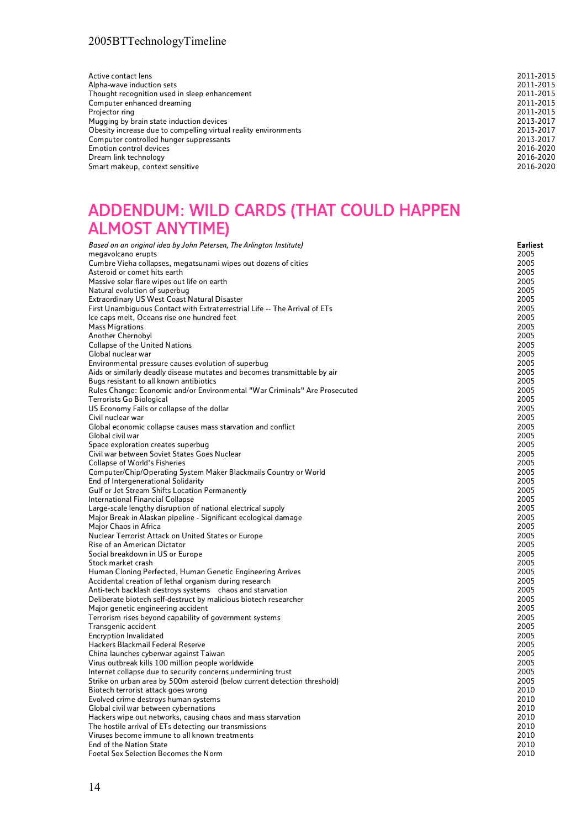# ADDENDUM: WILD CARDS (THAT COULD HAPPEN ALMOST ANYTIME)

| Based on an original idea by John Petersen, The Arlington Institute)       | Earliest |
|----------------------------------------------------------------------------|----------|
| megavolcano erupts                                                         | 2005     |
| Cumbre Vieha collapses, megatsunami wipes out dozens of cities             | 2005     |
| Asteroid or comet hits earth                                               | 2005     |
| Massive solar flare wipes out life on earth                                | 2005     |
| Natural evolution of superbug                                              | 2005     |
| Extraordinary US West Coast Natural Disaster                               | 2005     |
| First Unambiguous Contact with Extraterrestrial Life -- The Arrival of ETs | 2005     |
| Ice caps melt, Oceans rise one hundred feet                                | 2005     |
| <b>Mass Migrations</b>                                                     | 2005     |
| Another Chernobyl                                                          | 2005     |
| Collapse of the United Nations                                             | 2005     |
| Global nuclear war                                                         | 2005     |
| Environmental pressure causes evolution of superbug                        | 2005     |
| Aids or similarly deadly disease mutates and becomes transmittable by air  | 2005     |
| Bugs resistant to all known antibiotics                                    | 2005     |
| Rules Change: Economic and/or Environmental "War Criminals" Are Prosecuted | 2005     |
| Terrorists Go Biological                                                   | 2005     |
| US Economy Fails or collapse of the dollar                                 | 2005     |
| Civil nuclear war                                                          | 2005     |
| Global economic collapse causes mass starvation and conflict               | 2005     |
| Global civil war                                                           | 2005     |
| Space exploration creates superbug                                         | 2005     |
| Civil war between Soviet States Goes Nuclear                               | 2005     |
| <b>Collapse of World's Fisheries</b>                                       | 2005     |
| Computer/Chip/Operating System Maker Blackmails Country or World           | 2005     |
| End of Intergenerational Solidarity                                        | 2005     |
| Gulf or Jet Stream Shifts Location Permanently                             | 2005     |
| International Financial Collapse                                           | 2005     |
| Large-scale lengthy disruption of national electrical supply               | 2005     |
| Major Break in Alaskan pipeline - Significant ecological damage            | 2005     |
| Major Chaos in Africa                                                      | 2005     |
| Nuclear Terrorist Attack on United States or Europe                        | 2005     |
| Rise of an American Dictator                                               | 2005     |
| Social breakdown in US or Europe                                           | 2005     |
| Stock market crash                                                         | 2005     |
| Human Cloning Perfected, Human Genetic Engineering Arrives                 | 2005     |
| Accidental creation of lethal organism during research                     | 2005     |
| Anti-tech backlash destroys systems chaos and starvation                   | 2005     |
| Deliberate biotech self-destruct by malicious biotech researcher           | 2005     |
| Major genetic engineering accident                                         | 2005     |
| Terrorism rises beyond capability of government systems                    | 2005     |
| Transgenic accident                                                        | 2005     |
| <b>Encryption Invalidated</b>                                              | 2005     |
| Hackers Blackmail Federal Reserve                                          | 2005     |
| China launches cyberwar against Taiwan                                     | 2005     |
| Virus outbreak kills 100 million people worldwide                          | 2005     |
| Internet collapse due to security concerns undermining trust               | 2005     |
| Strike on urban area by 500m asteroid (below current detection threshold)  | 2005     |
| Biotech terrorist attack goes wrong                                        | 2010     |
| Evolved crime destroys human systems                                       | 2010     |
| Global civil war between cybernations                                      | 2010     |
| Hackers wipe out networks, causing chaos and mass starvation               | 2010     |
| The hostile arrival of ETs detecting our transmissions                     | 2010     |
| Viruses become immune to all known treatments                              | 2010     |
| End of the Nation State                                                    | 2010     |
| <b>Foetal Sex Selection Becomes the Norm</b>                               | 2010     |